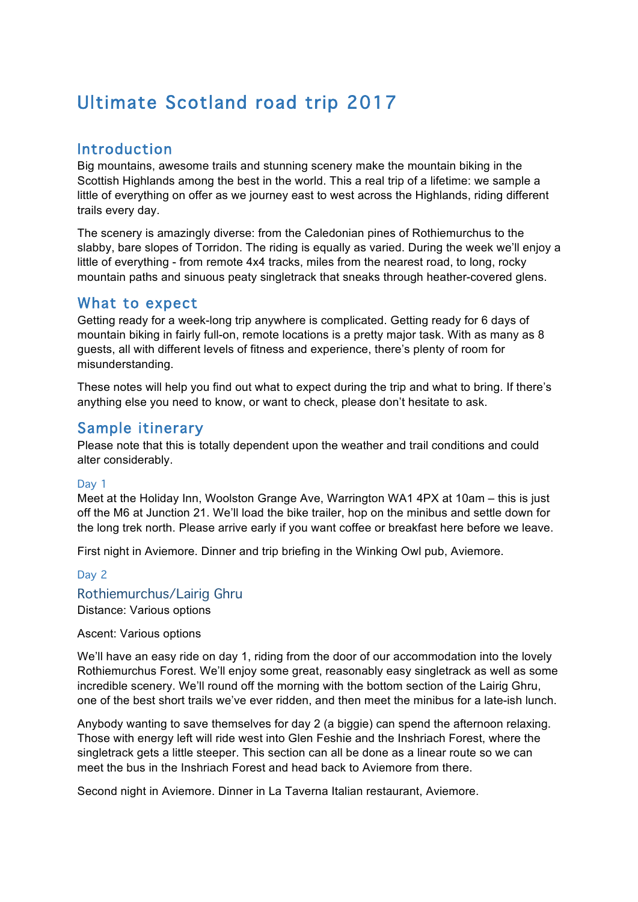# Ultimate Scotland road trip 2017

### **Introduction**

Big mountains, awesome trails and stunning scenery make the mountain biking in the Scottish Highlands among the best in the world. This a real trip of a lifetime: we sample a little of everything on offer as we journey east to west across the Highlands, riding different trails every day.

The scenery is amazingly diverse: from the Caledonian pines of Rothiemurchus to the slabby, bare slopes of Torridon. The riding is equally as varied. During the week we'll enjoy a little of everything - from remote 4x4 tracks, miles from the nearest road, to long, rocky mountain paths and sinuous peaty singletrack that sneaks through heather-covered glens.

### What to expect

Getting ready for a week-long trip anywhere is complicated. Getting ready for 6 days of mountain biking in fairly full-on, remote locations is a pretty major task. With as many as 8 guests, all with different levels of fitness and experience, there's plenty of room for misunderstanding.

These notes will help you find out what to expect during the trip and what to bring. If there's anything else you need to know, or want to check, please don't hesitate to ask.

### Sample itinerary

Please note that this is totally dependent upon the weather and trail conditions and could alter considerably.

#### Day 1

Meet at the Holiday Inn, Woolston Grange Ave, Warrington WA1 4PX at 10am – this is just off the M6 at Junction 21. We'll load the bike trailer, hop on the minibus and settle down for the long trek north. Please arrive early if you want coffee or breakfast here before we leave.

First night in Aviemore. Dinner and trip briefing in the Winking Owl pub, Aviemore.

#### Day 2

#### Rothiemurchus/Lairig Ghru

Distance: Various options

#### Ascent: Various options

We'll have an easy ride on day 1, riding from the door of our accommodation into the lovely Rothiemurchus Forest. We'll enjoy some great, reasonably easy singletrack as well as some incredible scenery. We'll round off the morning with the bottom section of the Lairig Ghru, one of the best short trails we've ever ridden, and then meet the minibus for a late-ish lunch.

Anybody wanting to save themselves for day 2 (a biggie) can spend the afternoon relaxing. Those with energy left will ride west into Glen Feshie and the Inshriach Forest, where the singletrack gets a little steeper. This section can all be done as a linear route so we can meet the bus in the Inshriach Forest and head back to Aviemore from there.

Second night in Aviemore. Dinner in La Taverna Italian restaurant, Aviemore.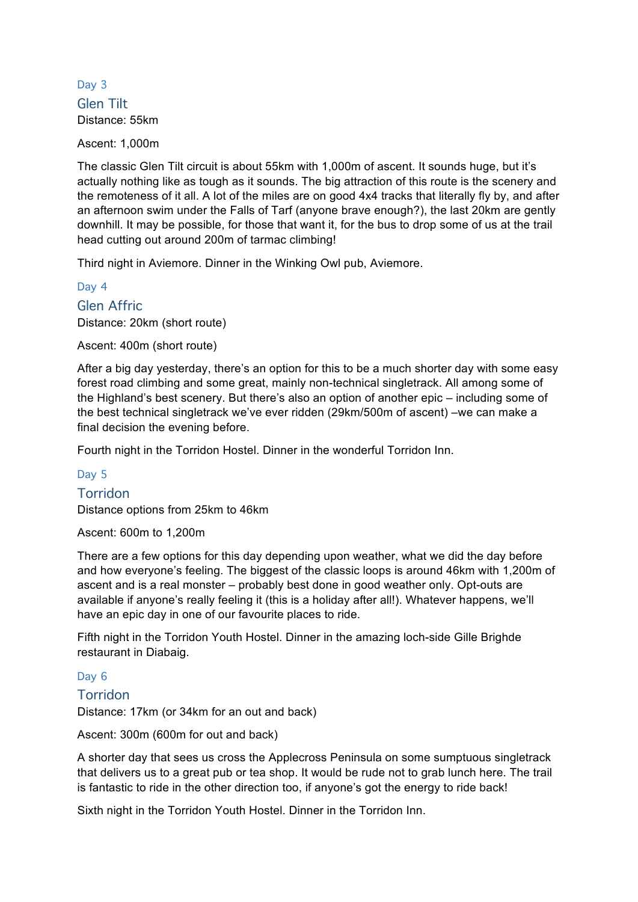### Day 3 Glen Tilt Distance: 55km

Ascent: 1,000m

The classic Glen Tilt circuit is about 55km with 1,000m of ascent. It sounds huge, but it's actually nothing like as tough as it sounds. The big attraction of this route is the scenery and the remoteness of it all. A lot of the miles are on good 4x4 tracks that literally fly by, and after an afternoon swim under the Falls of Tarf (anyone brave enough?), the last 20km are gently downhill. It may be possible, for those that want it, for the bus to drop some of us at the trail head cutting out around 200m of tarmac climbing!

Third night in Aviemore. Dinner in the Winking Owl pub, Aviemore.

Day 4

Glen Affric Distance: 20km (short route)

Ascent: 400m (short route)

After a big day yesterday, there's an option for this to be a much shorter day with some easy forest road climbing and some great, mainly non-technical singletrack. All among some of the Highland's best scenery. But there's also an option of another epic – including some of the best technical singletrack we've ever ridden (29km/500m of ascent) –we can make a final decision the evening before.

Fourth night in the Torridon Hostel. Dinner in the wonderful Torridon Inn.

#### Day 5

#### **Torridon**

Distance options from 25km to 46km

Ascent: 600m to 1,200m

There are a few options for this day depending upon weather, what we did the day before and how everyone's feeling. The biggest of the classic loops is around 46km with 1,200m of ascent and is a real monster – probably best done in good weather only. Opt-outs are available if anyone's really feeling it (this is a holiday after all!). Whatever happens, we'll have an epic day in one of our favourite places to ride.

Fifth night in the Torridon Youth Hostel. Dinner in the amazing loch-side Gille Brighde restaurant in Diabaig.

#### Day 6

#### Torridon

Distance: 17km (or 34km for an out and back)

Ascent: 300m (600m for out and back)

A shorter day that sees us cross the Applecross Peninsula on some sumptuous singletrack that delivers us to a great pub or tea shop. It would be rude not to grab lunch here. The trail is fantastic to ride in the other direction too, if anyone's got the energy to ride back!

Sixth night in the Torridon Youth Hostel. Dinner in the Torridon Inn.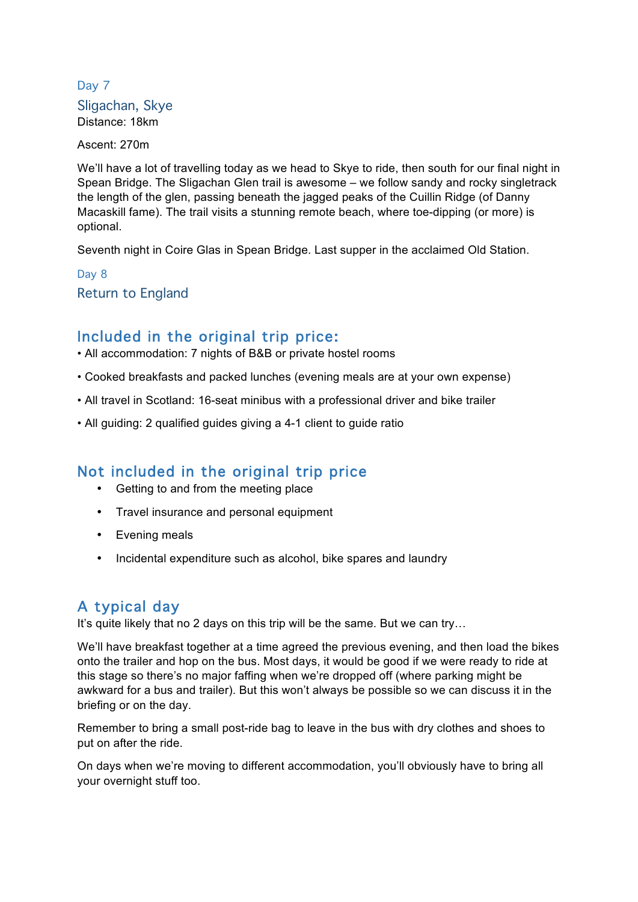### Day 7 Sligachan, Skye Distance: 18km

Ascent: 270m

We'll have a lot of travelling today as we head to Skye to ride, then south for our final night in Spean Bridge. The Sligachan Glen trail is awesome – we follow sandy and rocky singletrack the length of the glen, passing beneath the jagged peaks of the Cuillin Ridge (of Danny Macaskill fame). The trail visits a stunning remote beach, where toe-dipping (or more) is optional.

Seventh night in Coire Glas in Spean Bridge. Last supper in the acclaimed Old Station.

Day 8 Return to England

### Included in the original trip price:

• All accommodation: 7 nights of B&B or private hostel rooms

- Cooked breakfasts and packed lunches (evening meals are at your own expense)
- All travel in Scotland: 16-seat minibus with a professional driver and bike trailer
- All guiding: 2 qualified guides giving a 4-1 client to guide ratio

### Not included in the original trip price

- Getting to and from the meeting place
- Travel insurance and personal equipment
- Evening meals
- Incidental expenditure such as alcohol, bike spares and laundry

# A typical day

It's quite likely that no 2 days on this trip will be the same. But we can try...

We'll have breakfast together at a time agreed the previous evening, and then load the bikes onto the trailer and hop on the bus. Most days, it would be good if we were ready to ride at this stage so there's no major faffing when we're dropped off (where parking might be awkward for a bus and trailer). But this won't always be possible so we can discuss it in the briefing or on the day.

Remember to bring a small post-ride bag to leave in the bus with dry clothes and shoes to put on after the ride.

On days when we're moving to different accommodation, you'll obviously have to bring all your overnight stuff too.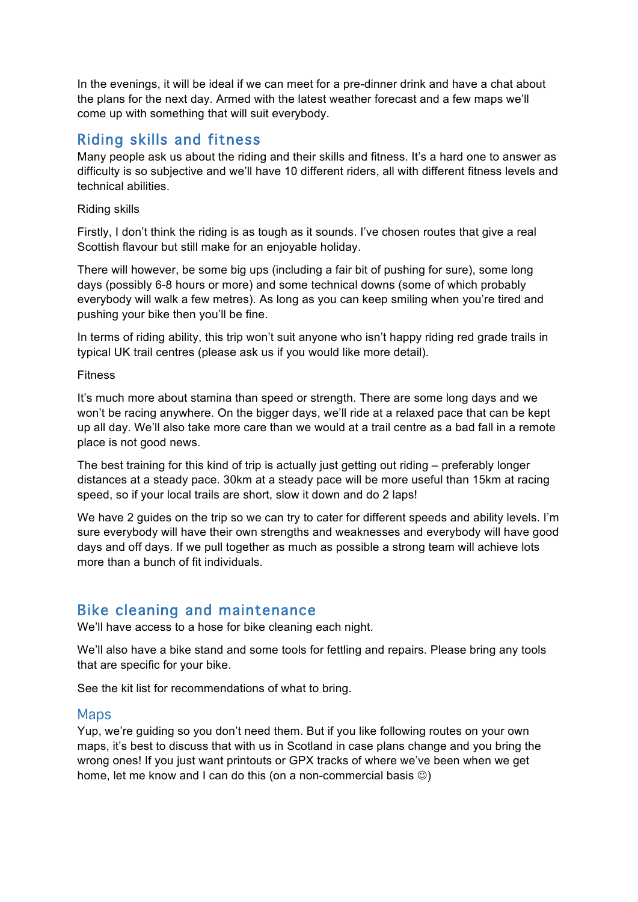In the evenings, it will be ideal if we can meet for a pre-dinner drink and have a chat about the plans for the next day. Armed with the latest weather forecast and a few maps we'll come up with something that will suit everybody.

# Riding skills and fitness

Many people ask us about the riding and their skills and fitness. It's a hard one to answer as difficulty is so subjective and we'll have 10 different riders, all with different fitness levels and technical abilities.

#### Riding skills

Firstly, I don't think the riding is as tough as it sounds. I've chosen routes that give a real Scottish flavour but still make for an enjoyable holiday.

There will however, be some big ups (including a fair bit of pushing for sure), some long days (possibly 6-8 hours or more) and some technical downs (some of which probably everybody will walk a few metres). As long as you can keep smiling when you're tired and pushing your bike then you'll be fine.

In terms of riding ability, this trip won't suit anyone who isn't happy riding red grade trails in typical UK trail centres (please ask us if you would like more detail).

#### Fitness

It's much more about stamina than speed or strength. There are some long days and we won't be racing anywhere. On the bigger days, we'll ride at a relaxed pace that can be kept up all day. We'll also take more care than we would at a trail centre as a bad fall in a remote place is not good news.

The best training for this kind of trip is actually just getting out riding – preferably longer distances at a steady pace. 30km at a steady pace will be more useful than 15km at racing speed, so if your local trails are short, slow it down and do 2 laps!

We have 2 guides on the trip so we can try to cater for different speeds and ability levels. I'm sure everybody will have their own strengths and weaknesses and everybody will have good days and off days. If we pull together as much as possible a strong team will achieve lots more than a bunch of fit individuals.

# Bike cleaning and maintenance

We'll have access to a hose for bike cleaning each night.

We'll also have a bike stand and some tools for fettling and repairs. Please bring any tools that are specific for your bike.

See the kit list for recommendations of what to bring.

### **Maps**

Yup, we're guiding so you don't need them. But if you like following routes on your own maps, it's best to discuss that with us in Scotland in case plans change and you bring the wrong ones! If you just want printouts or GPX tracks of where we've been when we get home, let me know and I can do this (on a non-commercial basis  $\circledcirc$ )